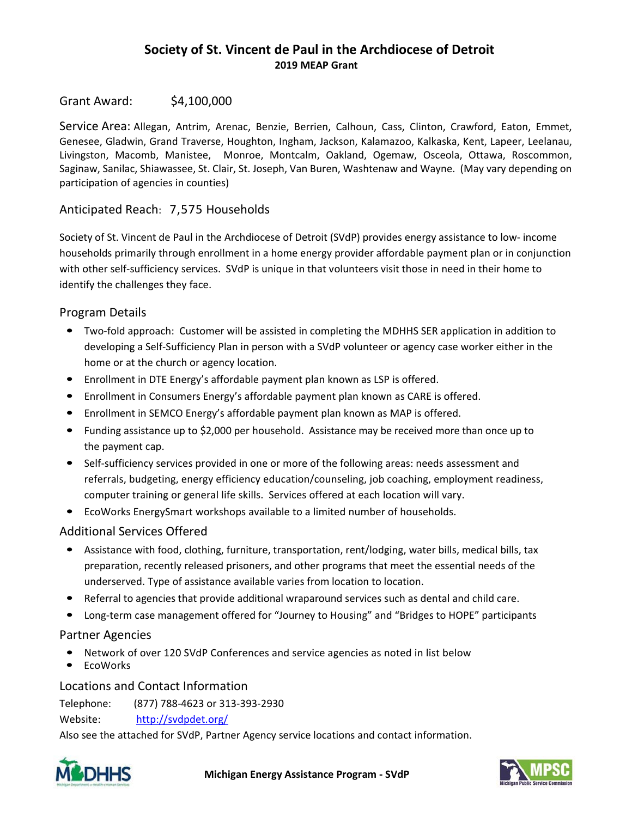# **Society of St. Vincent de Paul in the Archdiocese of Detroit 2019 MEAP Grant**

### Grant Award: \$4,100,000

Service Area: Allegan, Antrim, Arenac, Benzie, Berrien, Calhoun, Cass, Clinton, Crawford, Eaton, Emmet, Genesee, Gladwin, Grand Traverse, Houghton, Ingham, Jackson, Kalamazoo, Kalkaska, Kent, Lapeer, Leelanau, Livingston, Macomb, Manistee, Monroe, Montcalm, Oakland, Ogemaw, Osceola, Ottawa, Roscommon, Saginaw, Sanilac, Shiawassee, St. Clair, St. Joseph, Van Buren, Washtenaw and Wayne. (May vary depending on participation of agencies in counties)

## Anticipated Reach: 7,575 Households

Society of St. Vincent de Paul in the Archdiocese of Detroit (SVdP) provides energy assistance to low‐ income households primarily through enrollment in a home energy provider affordable payment plan or in conjunction with other self-sufficiency services. SVdP is unique in that volunteers visit those in need in their home to identify the challenges they face.

## Program Details

- Two-fold approach: Customer will be assisted in completing the MDHHS SER application in addition to developing a Self‐Sufficiency Plan in person with a SVdP volunteer or agency case worker either in the home or at the church or agency location.
- Enrollment in DTE Energy's affordable payment plan known as LSP is offered.
- Enrollment in Consumers Energy's affordable payment plan known as CARE is offered.
- Enrollment in SEMCO Energy's affordable payment plan known as MAP is offered.
- Funding assistance up to \$2,000 per household. Assistance may be received more than once up to the payment cap.
- Self-sufficiency services provided in one or more of the following areas: needs assessment and referrals, budgeting, energy efficiency education/counseling, job coaching, employment readiness, computer training or general life skills. Services offered at each location will vary.
- EcoWorks EnergySmart workshops available to a limited number of households.

#### Additional Services Offered

- Assistance with food, clothing, furniture, transportation, rent/lodging, water bills, medical bills, tax preparation, recently released prisoners, and other programs that meet the essential needs of the underserved. Type of assistance available varies from location to location.
- Referral to agencies that provide additional wraparound services such as dental and child care.
- Long-term case management offered for "Journey to Housing" and "Bridges to HOPE" participants

#### Partner Agencies

- Network of over 120 SVdP Conferences and service agencies as noted in list below
- EcoWorks

#### Locations and Contact Information

Telephone: (877) 788‐4623 or 313‐393‐2930

Website: http://svdpdet.org/

Also see the attached for SVdP, Partner Agency service locations and contact information.



**Michigan Energy Assistance Program ‐ SVdP**

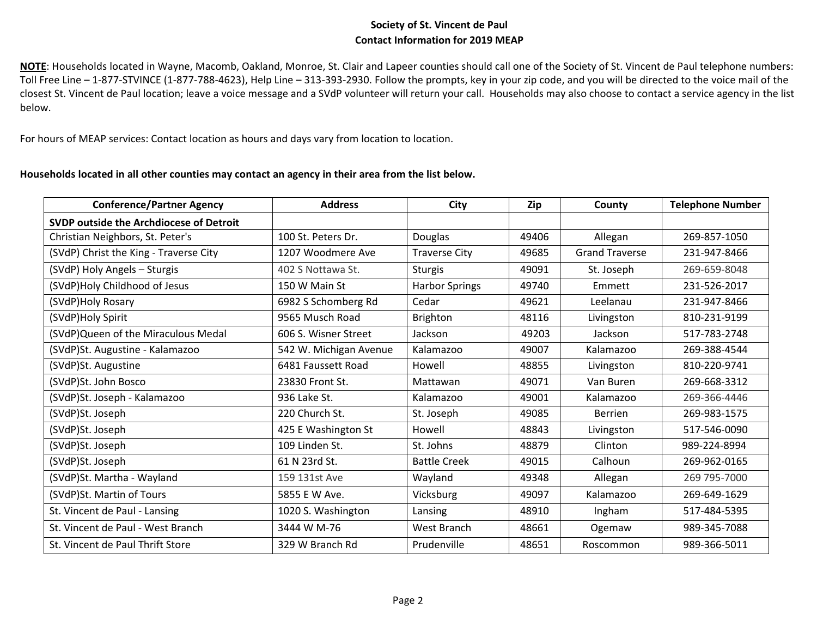### **Society of St. Vincent de Paul Contact Information for 2019 MEAP**

**NOTE**: Households located in Wayne, Macomb, Oakland, Monroe, St. Clair and Lapeer counties should call one of the Society of St. Vincent de Paul telephone numbers: Toll Free Line – 1‐877‐STVINCE (1‐877‐788‐4623), Help Line – 313‐393‐2930. Follow the prompts, key in your zip code, and you will be directed to the voice mail of the closest St. Vincent de Paul location; leave a voice message and a SVdP volunteer will return your call. Households may also choose to contact a service agency in the list below.

For hours of MEAP services: Contact location as hours and days vary from location to location.

#### **Households located in all other counties may contact an agency in their area from the list below.**

| <b>Conference/Partner Agency</b>        | <b>Address</b>         | City                  | Zip   | County                | <b>Telephone Number</b> |
|-----------------------------------------|------------------------|-----------------------|-------|-----------------------|-------------------------|
| SVDP outside the Archdiocese of Detroit |                        |                       |       |                       |                         |
| Christian Neighbors, St. Peter's        | 100 St. Peters Dr.     | Douglas               | 49406 | Allegan               | 269-857-1050            |
| (SVdP) Christ the King - Traverse City  | 1207 Woodmere Ave      | <b>Traverse City</b>  | 49685 | <b>Grand Traverse</b> | 231-947-8466            |
| (SVdP) Holy Angels - Sturgis            | 402 S Nottawa St.      | <b>Sturgis</b>        | 49091 | St. Joseph            | 269-659-8048            |
| (SVdP)Holy Childhood of Jesus           | 150 W Main St          | <b>Harbor Springs</b> | 49740 | Emmett                | 231-526-2017            |
| (SVdP)Holy Rosary                       | 6982 S Schomberg Rd    | Cedar                 | 49621 | Leelanau              | 231-947-8466            |
| (SVdP)Holy Spirit                       | 9565 Musch Road        | Brighton              | 48116 | Livingston            | 810-231-9199            |
| (SVdP) Queen of the Miraculous Medal    | 606 S. Wisner Street   | Jackson               | 49203 | Jackson               | 517-783-2748            |
| (SVdP)St. Augustine - Kalamazoo         | 542 W. Michigan Avenue | Kalamazoo             | 49007 | Kalamazoo             | 269-388-4544            |
| (SVdP)St. Augustine                     | 6481 Faussett Road     | Howell                | 48855 | Livingston            | 810-220-9741            |
| (SVdP)St. John Bosco                    | 23830 Front St.        | Mattawan              | 49071 | Van Buren             | 269-668-3312            |
| (SVdP)St. Joseph - Kalamazoo            | 936 Lake St.           | Kalamazoo             | 49001 | Kalamazoo             | 269-366-4446            |
| (SVdP)St. Joseph                        | 220 Church St.         | St. Joseph            | 49085 | <b>Berrien</b>        | 269-983-1575            |
| (SVdP)St. Joseph                        | 425 E Washington St    | Howell                | 48843 | Livingston            | 517-546-0090            |
| (SVdP)St. Joseph                        | 109 Linden St.         | St. Johns             | 48879 | Clinton               | 989-224-8994            |
| (SVdP)St. Joseph                        | 61 N 23rd St.          | <b>Battle Creek</b>   | 49015 | Calhoun               | 269-962-0165            |
| (SVdP)St. Martha - Wayland              | 159 131st Ave          | Wayland               | 49348 | Allegan               | 269 795-7000            |
| (SVdP)St. Martin of Tours               | 5855 E W Ave.          | Vicksburg             | 49097 | Kalamazoo             | 269-649-1629            |
| St. Vincent de Paul - Lansing           | 1020 S. Washington     | Lansing               | 48910 | Ingham                | 517-484-5395            |
| St. Vincent de Paul - West Branch       | 3444 W M-76            | West Branch           | 48661 | Ogemaw                | 989-345-7088            |
| St. Vincent de Paul Thrift Store        | 329 W Branch Rd        | Prudenville           | 48651 | Roscommon             | 989-366-5011            |